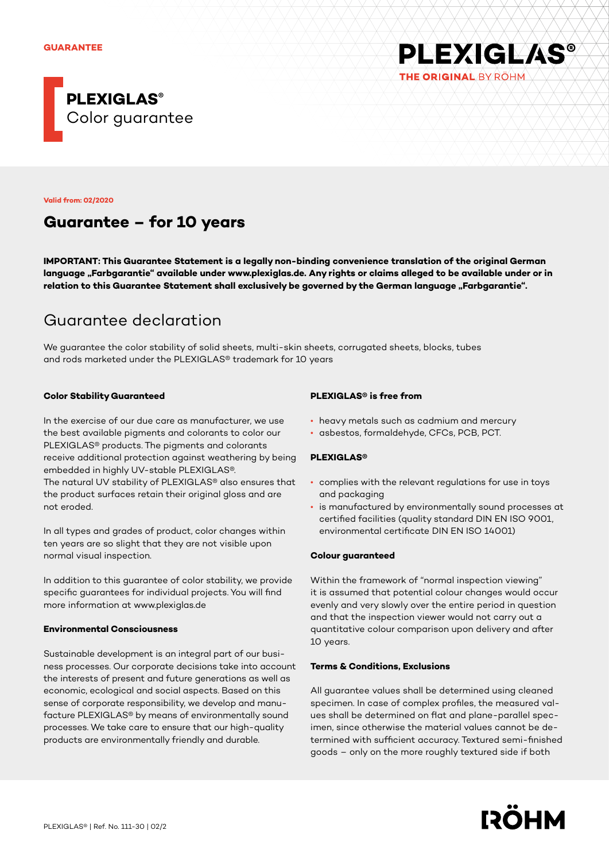

**Valid from: 02/2020**

## **Guarantee – for 10 years**

**IMPORTANT: This Guarantee Statement is a legally non-binding convenience translation of the original German**  language "Farbgarantie" available under www.plexiglas.de. Any rights or claims alleged to be available under or in relation to this Guarantee Statement shall exclusively be governed by the German language "Farbgarantie".

# Guarantee declaration

We guarantee the color stability of solid sheets, multi-skin sheets, corrugated sheets, blocks, tubes and rods marketed under the PLEXIGLAS® trademark for 10 years

## **Color Stability Guaranteed**

In the exercise of our due care as manufacturer, we use the best available pigments and colorants to color our PLEXIGLAS® products. The pigments and colorants receive additional protection against weathering by being embedded in highly UV-stable PLEXIGLAS®. The natural UV stability of PLEXIGLAS® also ensures that the product surfaces retain their original gloss and are not eroded.

In all types and grades of product, color changes within ten years are so slight that they are not visible upon normal visual inspection.

In addition to this guarantee of color stability, we provide specific guarantees for individual projects. You will find more information at www.plexiglas.de

#### **Environmental Consciousness**

Sustainable development is an integral part of our business processes. Our corporate decisions take into account the interests of present and future generations as well as economic, ecological and social aspects. Based on this sense of corporate responsibility, we develop and manufacture PLEXIGLAS® by means of environmentally sound processes. We take care to ensure that our high-quality products are environmentally friendly and durable.

## **PLEXIGLAS® is free from**

- heavy metals such as cadmium and mercury
- asbestos, formaldehyde, CFCs, PCB, PCT.

#### **PLEXIGLAS®**

- complies with the relevant regulations for use in toys and packaging
- is manufactured by environmentally sound processes at certified facilities (quality standard DIN EN ISO 9001, environmental certificate DIN EN ISO 14001)

**PLEXIGLAS®** 

THE ORIGINAL BY ROHM

#### **Colour guaranteed**

Within the framework of "normal inspection viewing" it is assumed that potential colour changes would occur evenly and very slowly over the entire period in question and that the inspection viewer would not carry out a quantitative colour comparison upon delivery and after 10 years.

#### **Terms & Conditions, Exclusions**

All guarantee values shall be determined using cleaned specimen. In case of complex profiles, the measured values shall be determined on flat and plane-parallel specimen, since otherwise the material values cannot be determined with sufficient accuracy. Textured semi-finished goods – only on the more roughly textured side if both